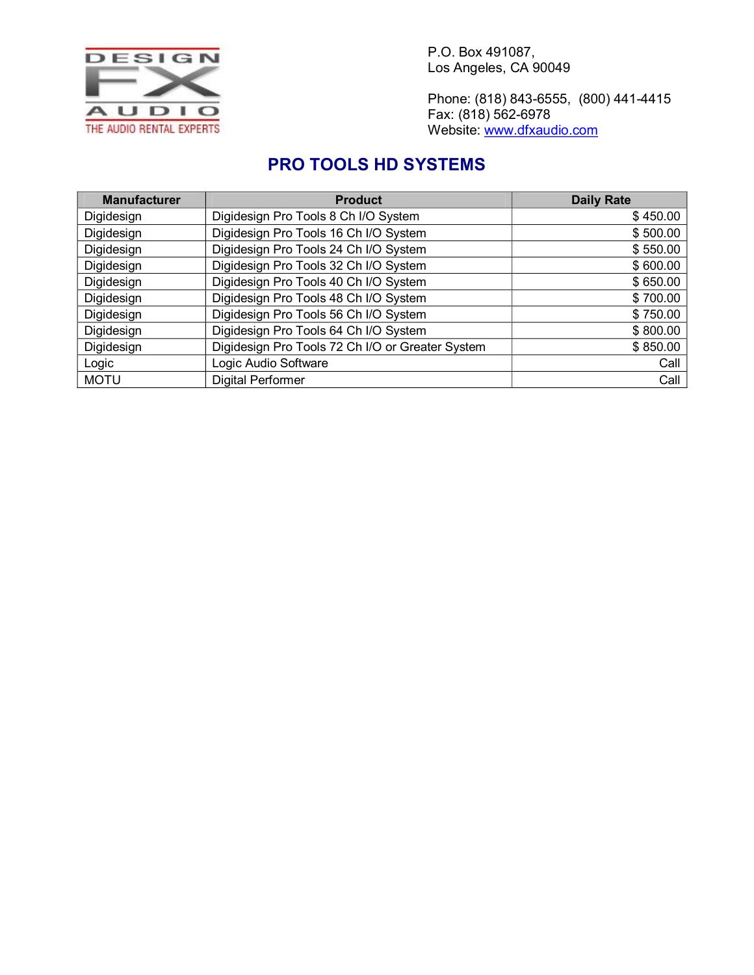

Phone: (818) 843-6555, (800) 441-4415 Fax: (818) 562-6978 Website: [www.dfxaudio.com](http://www.dfxaudio.com/)

## **PRO TOOLS HD SYSTEMS**

| <b>Manufacturer</b> | <b>Product</b>                                   | <b>Daily Rate</b> |
|---------------------|--------------------------------------------------|-------------------|
| Digidesign          | Digidesign Pro Tools 8 Ch I/O System             | \$450.00          |
| Digidesign          | Digidesign Pro Tools 16 Ch I/O System            | \$500.00          |
| Digidesign          | Digidesign Pro Tools 24 Ch I/O System            | \$550.00          |
| Digidesign          | Digidesign Pro Tools 32 Ch I/O System            | \$600.00          |
| Digidesign          | Digidesign Pro Tools 40 Ch I/O System            | \$650.00          |
| Digidesign          | Digidesign Pro Tools 48 Ch I/O System            | \$700.00          |
| Digidesign          | Digidesign Pro Tools 56 Ch I/O System            | \$750.00          |
| Digidesign          | Digidesign Pro Tools 64 Ch I/O System            | \$800.00          |
| Digidesign          | Digidesign Pro Tools 72 Ch I/O or Greater System | \$850.00          |
| Logic               | Logic Audio Software                             | Call              |
| <b>MOTU</b>         | <b>Digital Performer</b>                         | Call              |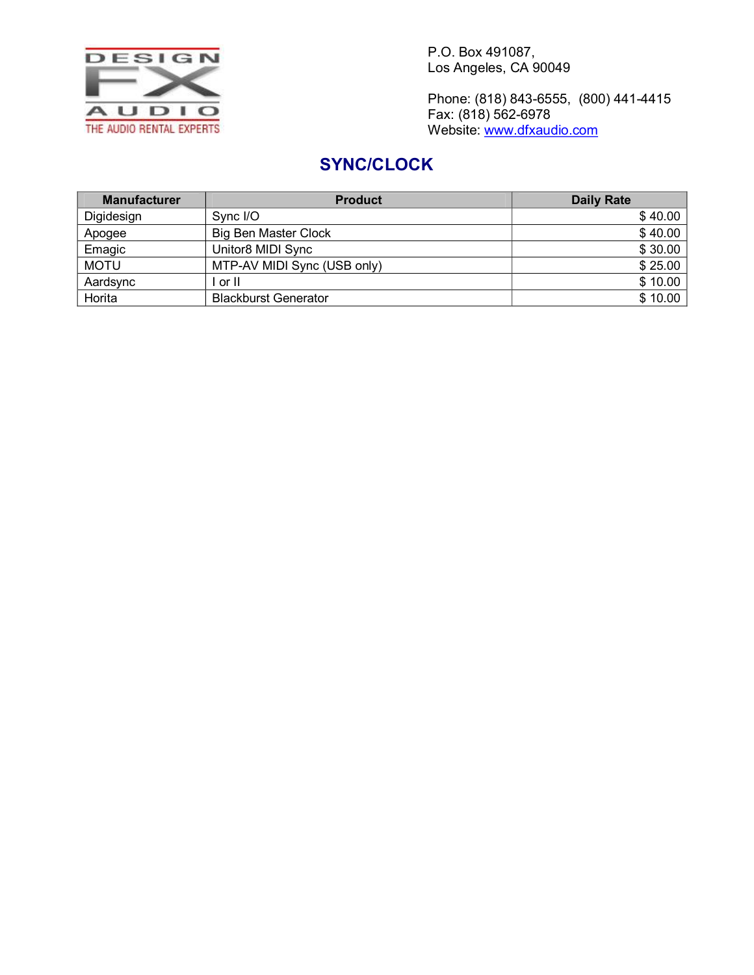

Phone: (818) 843-6555, (800) 441-4415 Fax: (818) 562-6978 Website: [www.dfxaudio.com](http://www.dfxaudio.com/)

# **SYNC/CLOCK**

| <b>Manufacturer</b> | <b>Product</b>              | <b>Daily Rate</b> |
|---------------------|-----------------------------|-------------------|
| Digidesign          | Sync I/O                    | \$40.00           |
| Apogee              | <b>Big Ben Master Clock</b> | \$40.00           |
| Emagic              | Unitor8 MIDI Sync           | \$30.00           |
| <b>MOTU</b>         | MTP-AV MIDI Sync (USB only) | \$25.00           |
| Aardsync            | or II                       | \$10.00           |
| Horita              | <b>Blackburst Generator</b> | \$10.00           |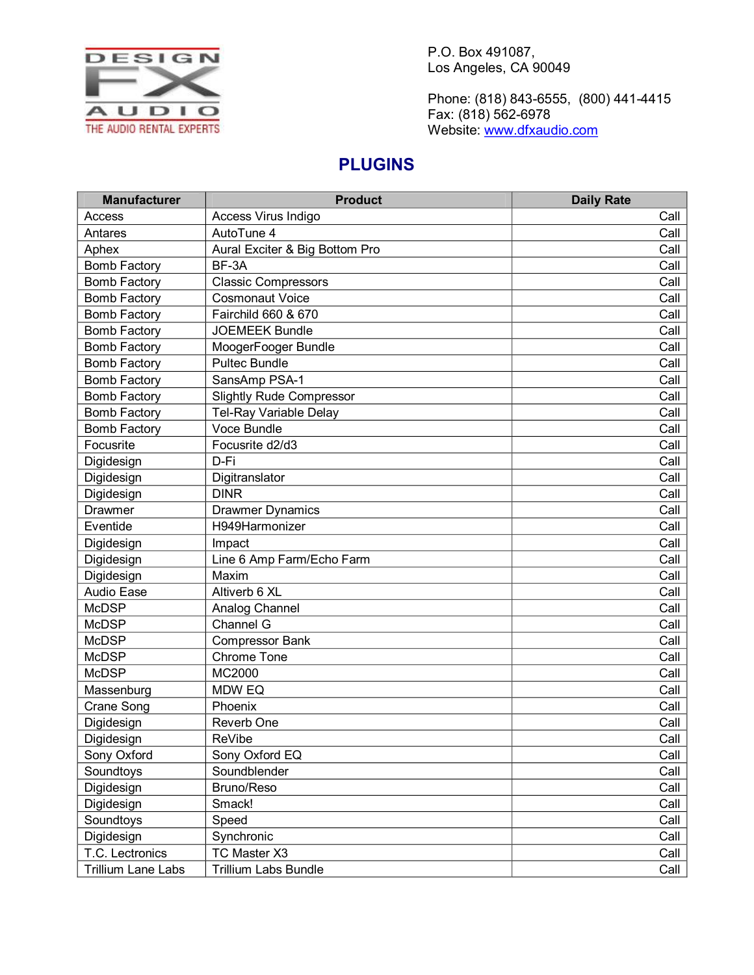

Phone: (818) 843-6555, (800) 441-4415 Fax: (818) 562-6978 Website: [www.dfxaudio.com](http://www.dfxaudio.com/)

## **PLUGINS**

| <b>Manufacturer</b> | <b>Product</b>                  | <b>Daily Rate</b> |
|---------------------|---------------------------------|-------------------|
| Access              | Access Virus Indigo             | Call              |
| Antares             | AutoTune 4                      | Call              |
| Aphex               | Aural Exciter & Big Bottom Pro  | Call              |
| <b>Bomb Factory</b> | BF-3A                           | Call              |
| <b>Bomb Factory</b> | <b>Classic Compressors</b>      | Call              |
| <b>Bomb Factory</b> | <b>Cosmonaut Voice</b>          | Call              |
| <b>Bomb Factory</b> | Fairchild 660 & 670             | Call              |
| <b>Bomb Factory</b> | <b>JOEMEEK Bundle</b>           | Call              |
| <b>Bomb Factory</b> | MoogerFooger Bundle             | Call              |
| <b>Bomb Factory</b> | <b>Pultec Bundle</b>            | Call              |
| <b>Bomb Factory</b> | SansAmp PSA-1                   | Call              |
| <b>Bomb Factory</b> | <b>Slightly Rude Compressor</b> | Call              |
| <b>Bomb Factory</b> | Tel-Ray Variable Delay          | Call              |
| <b>Bomb Factory</b> | Voce Bundle                     | Call              |
| Focusrite           | Focusrite d2/d3                 | Call              |
| Digidesign          | D-Fi                            | Call              |
| Digidesign          | Digitranslator                  | Call              |
| Digidesign          | <b>DINR</b>                     | Call              |
| Drawmer             | <b>Drawmer Dynamics</b>         | Call              |
| Eventide            | H949Harmonizer                  | Call              |
| Digidesign          | Impact                          | Call              |
| Digidesign          | Line 6 Amp Farm/Echo Farm       | Call              |
| Digidesign          | Maxim                           | Call              |
| Audio Ease          | Altiverb 6 XL                   | Call              |
| <b>McDSP</b>        | Analog Channel                  | Call              |
| <b>McDSP</b>        | Channel G                       | Call              |
| <b>McDSP</b>        | <b>Compressor Bank</b>          | Call              |
| <b>McDSP</b>        | <b>Chrome Tone</b>              | Call              |
| <b>McDSP</b>        | MC2000                          | Call              |
| Massenburg          | MDW EQ                          | Call              |
| <b>Crane Song</b>   | Phoenix                         | Call              |
| Digidesign          | Reverb One                      | Call              |
| Digidesign          | <b>ReVibe</b>                   | Call              |
| Sony Oxford         | Sony Oxford EQ                  | Call              |
| Soundtoys           | Soundblender                    | Call              |
| Digidesign          | Bruno/Reso                      | Call              |
| Digidesign          | Smack!                          | Call              |
| Soundtoys           | Speed                           | Call              |
| Digidesign          | Synchronic                      | Call              |
| T.C. Lectronics     | TC Master X3                    | Call              |
| Trillium Lane Labs  | <b>Trillium Labs Bundle</b>     | Call              |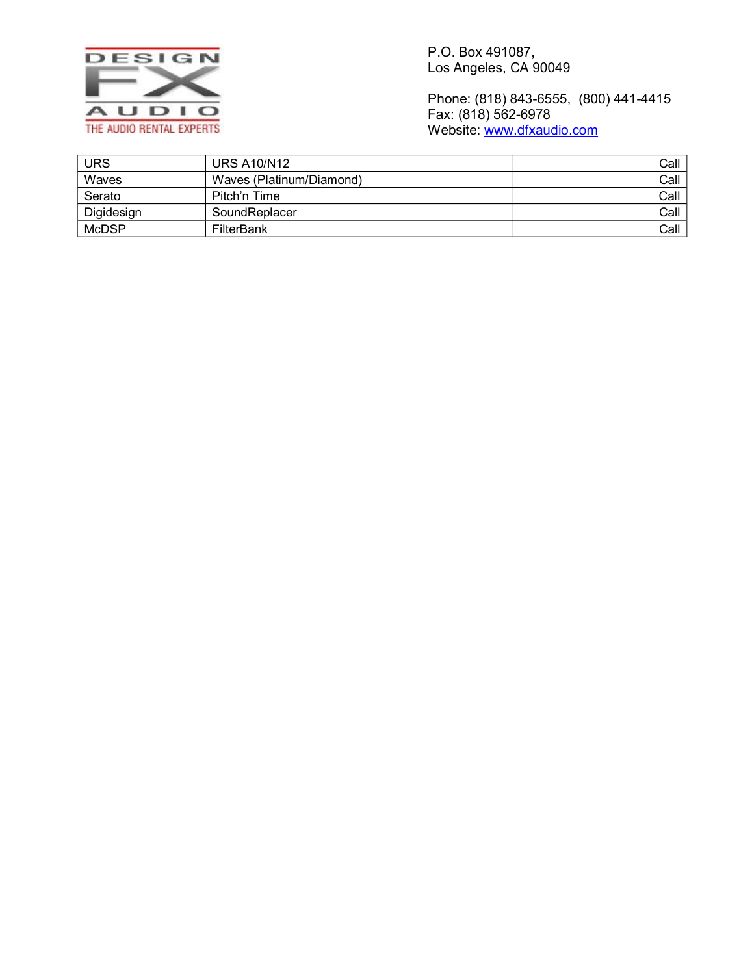

Phone: (818) 843-6555, (800) 441-4415 Fax: (818) 562-6978 Website: [www.dfxaudio.com](http://www.dfxaudio.com/)

| <b>URS</b>   | URS A10/N12              | Call |
|--------------|--------------------------|------|
| Waves        | Waves (Platinum/Diamond) | Call |
| Serato       | Pitch'n Time             | Call |
| Digidesign   | SoundReplacer            | Call |
| <b>McDSP</b> | FilterBank               | Call |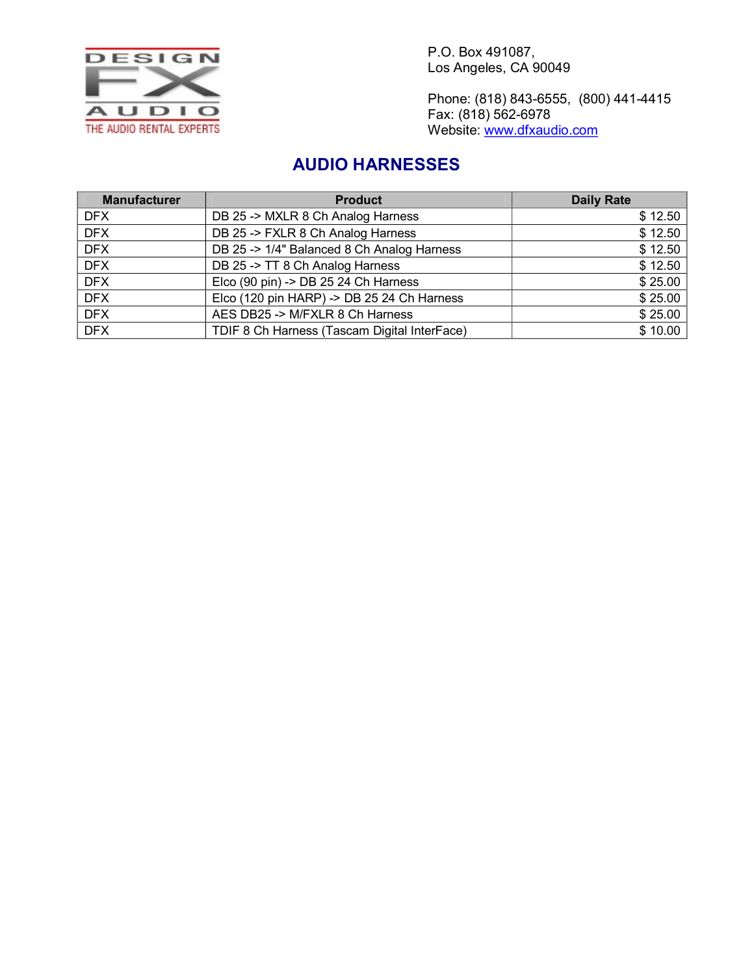

Phone: (818) 843-6555, (800) 441-4415 Fax: (818) 562-6978 Website: [www.dfxaudio.com](http://www.dfxaudio.com/)

## **AUDIO HARNESSES**

| <b>Manufacturer</b> | <b>Product</b>                               | <b>Daily Rate</b> |
|---------------------|----------------------------------------------|-------------------|
| DFX                 | DB 25 -> MXLR 8 Ch Analog Harness            | \$12.50           |
| <b>DFX</b>          | DB 25 -> FXLR 8 Ch Analog Harness            | \$12.50           |
| <b>DFX</b>          | DB 25 -> 1/4" Balanced 8 Ch Analog Harness   | \$12.50           |
| <b>DFX</b>          | DB 25 -> TT 8 Ch Analog Harness              | \$12.50           |
| <b>DFX</b>          | Elco (90 pin) -> DB 25 24 Ch Harness         | \$25.00           |
| <b>DFX</b>          | Elco (120 pin HARP) -> DB 25 24 Ch Harness   | \$25.00           |
| <b>DFX</b>          | AES DB25 -> M/FXLR 8 Ch Harness              | \$25.00           |
| <b>DFX</b>          | TDIF 8 Ch Harness (Tascam Digital InterFace) | \$10.00           |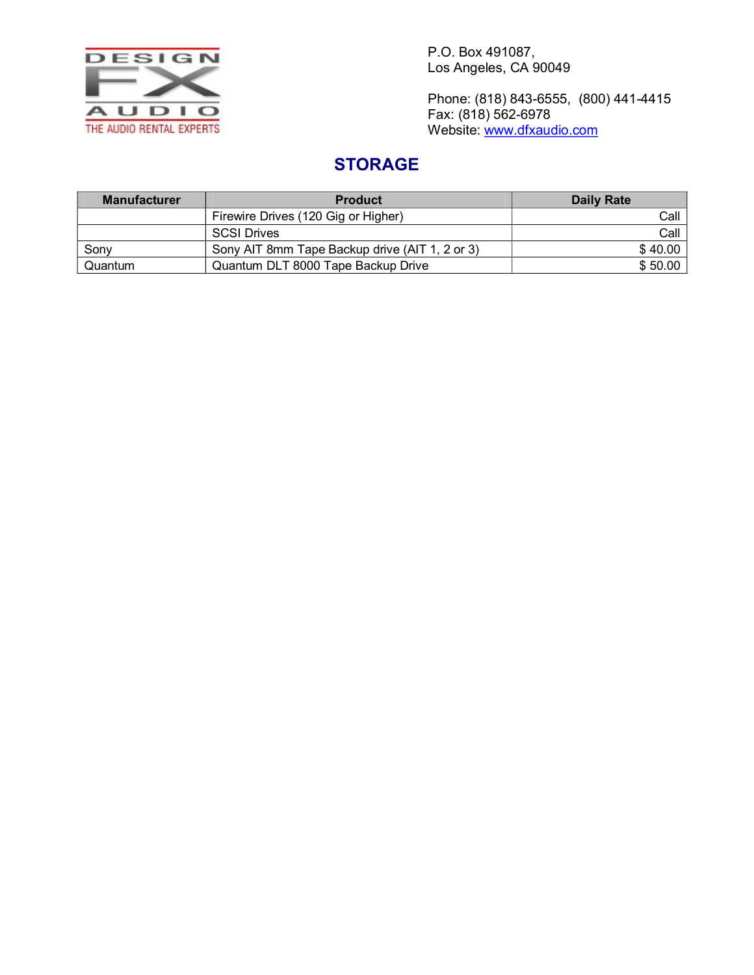

Phone: (818) 843-6555, (800) 441-4415 Fax: (818) 562-6978 Website: [www.dfxaudio.com](http://www.dfxaudio.com/)

# **STORAGE**

| <b>Manufacturer</b> | <b>Product</b>                                 | Daily Rate |
|---------------------|------------------------------------------------|------------|
|                     | Firewire Drives (120 Gig or Higher)            | Call       |
|                     | <b>SCSI Drives</b>                             | Call       |
| Sonv                | Sony AIT 8mm Tape Backup drive (AIT 1, 2 or 3) | \$40.00    |
| Quantum             | Quantum DLT 8000 Tape Backup Drive             | \$50.00    |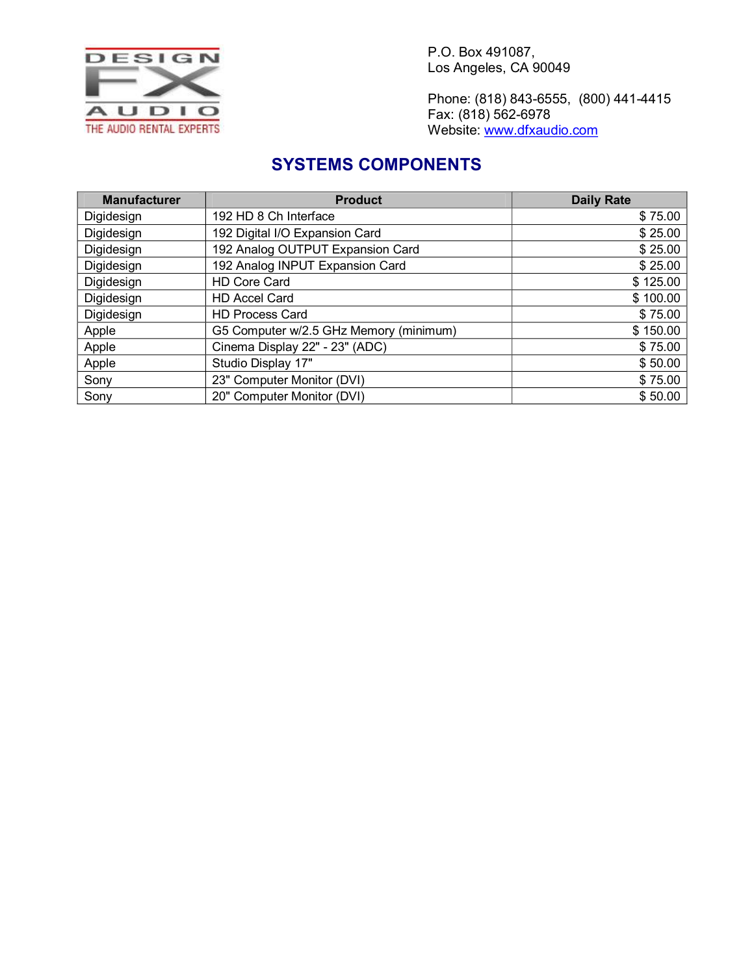

Phone: (818) 843-6555, (800) 441-4415 Fax: (818) 562-6978 Website: [www.dfxaudio.com](http://www.dfxaudio.com/)

#### **SYSTEMS COMPONENTS**

| <b>Manufacturer</b> | <b>Product</b>                         | <b>Daily Rate</b> |
|---------------------|----------------------------------------|-------------------|
| Digidesign          | 192 HD 8 Ch Interface                  | \$75.00           |
| Digidesign          | 192 Digital I/O Expansion Card         | \$25.00           |
| Digidesign          | 192 Analog OUTPUT Expansion Card       | \$25.00           |
| Digidesign          | 192 Analog INPUT Expansion Card        | \$25.00           |
| Digidesign          | <b>HD Core Card</b>                    | \$125.00          |
| Digidesign          | <b>HD Accel Card</b>                   | \$100.00          |
| Digidesign          | <b>HD Process Card</b>                 | \$75.00           |
| Apple               | G5 Computer w/2.5 GHz Memory (minimum) | \$150.00          |
| Apple               | Cinema Display 22" - 23" (ADC)         | \$75.00           |
| Apple               | Studio Display 17"                     | \$50.00           |
| Sony                | 23" Computer Monitor (DVI)             | \$75.00           |
| Sony                | 20" Computer Monitor (DVI)             | \$50.00           |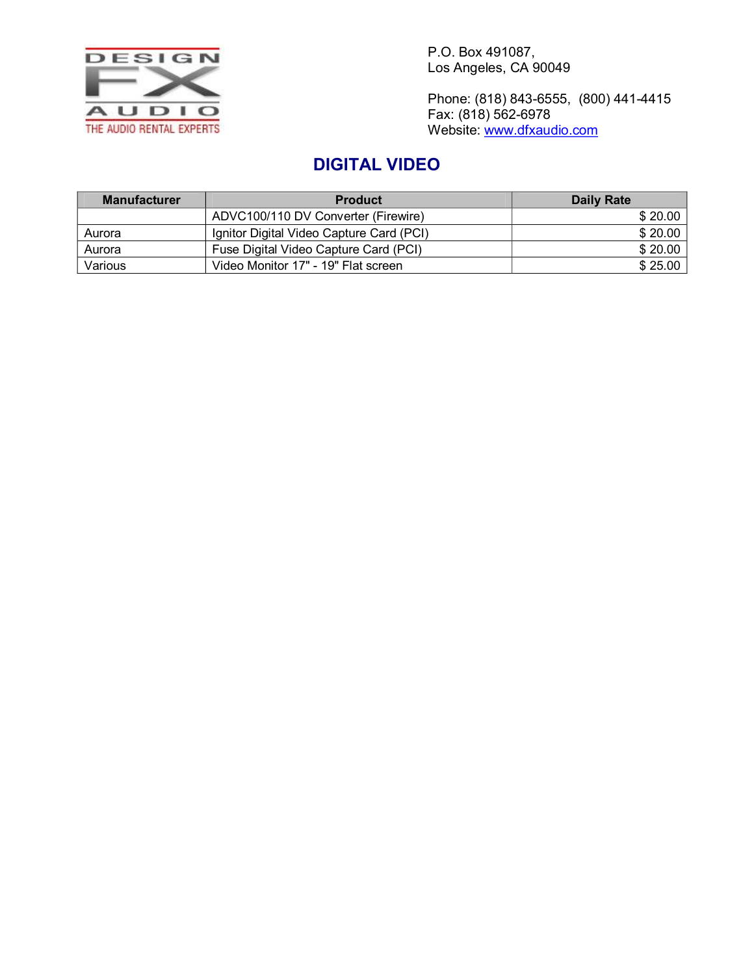

Phone: (818) 843-6555, (800) 441-4415 Fax: (818) 562-6978 Website: [www.dfxaudio.com](http://www.dfxaudio.com/)

# **DIGITAL VIDEO**

| <b>Manufacturer</b> | <b>Product</b>                           | Daily Rate |
|---------------------|------------------------------------------|------------|
|                     | ADVC100/110 DV Converter (Firewire)      | \$20.00    |
| Aurora              | Ignitor Digital Video Capture Card (PCI) | \$20.00    |
| Aurora              | Fuse Digital Video Capture Card (PCI)    | \$20.00    |
| Various             | Video Monitor 17" - 19" Flat screen      | \$25.00    |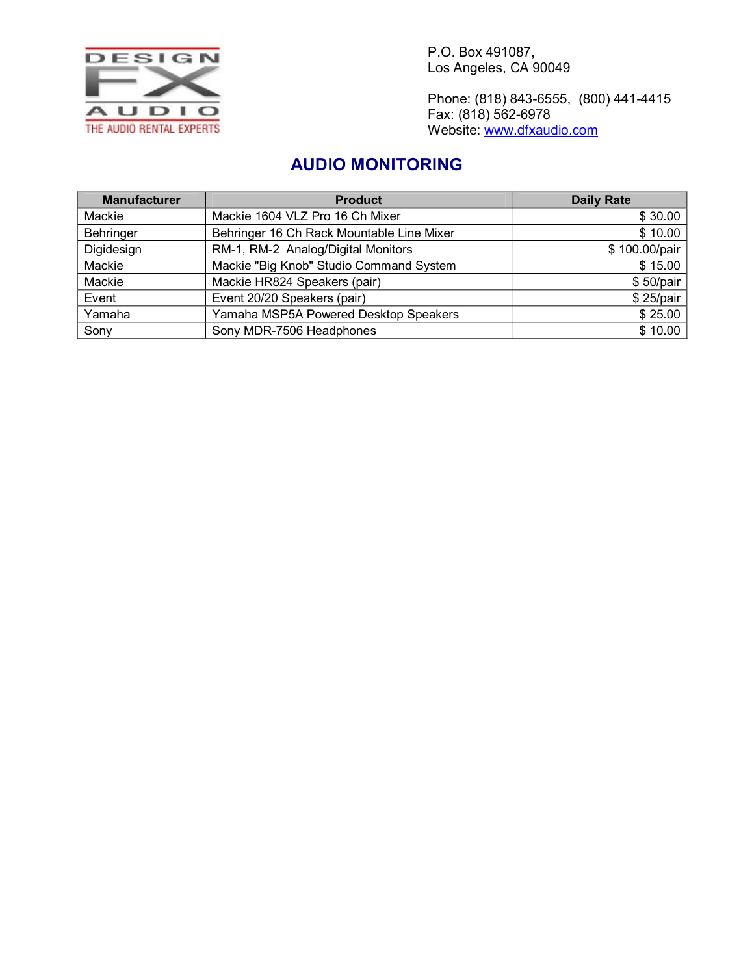

Phone: (818) 843-6555, (800) 441-4415 Fax: (818) 562-6978 Website: [www.dfxaudio.com](http://www.dfxaudio.com/)

#### **AUDIO MONITORING**

| <b>Manufacturer</b> | <b>Product</b>                            | <b>Daily Rate</b> |
|---------------------|-------------------------------------------|-------------------|
| Mackie              | Mackie 1604 VLZ Pro 16 Ch Mixer           | \$30.00           |
| Behringer           | Behringer 16 Ch Rack Mountable Line Mixer | \$10.00           |
| Digidesign          | RM-1, RM-2 Analog/Digital Monitors        | \$100.00/pair     |
| Mackie              | Mackie "Big Knob" Studio Command System   | \$15.00           |
| Mackie              | Mackie HR824 Speakers (pair)              | \$50/pair         |
| Event               | Event 20/20 Speakers (pair)               | \$25/pair         |
| Yamaha              | Yamaha MSP5A Powered Desktop Speakers     | \$25.00           |
| Sony                | Sony MDR-7506 Headphones                  | \$10.00           |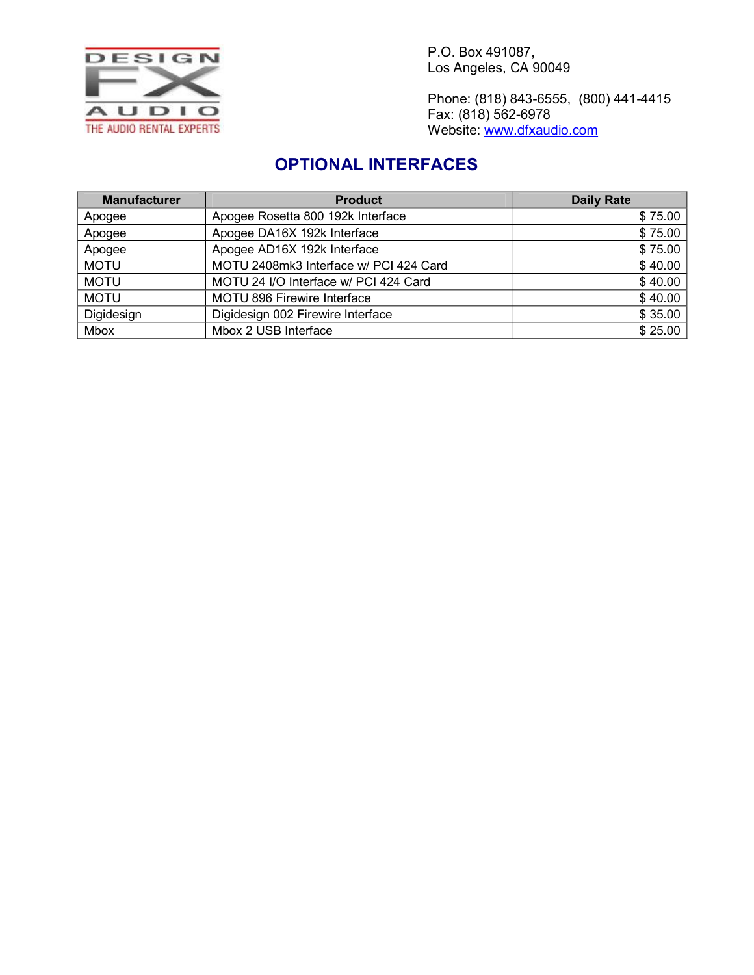

Phone: (818) 843-6555, (800) 441-4415 Fax: (818) 562-6978 Website: [www.dfxaudio.com](http://www.dfxaudio.com/)

# **OPTIONAL INTERFACES**

| <b>Manufacturer</b> | <b>Product</b>                         | <b>Daily Rate</b> |
|---------------------|----------------------------------------|-------------------|
| Apogee              | Apogee Rosetta 800 192k Interface      | \$75.00           |
| Apogee              | Apogee DA16X 192k Interface            | \$75.00           |
| Apogee              | Apogee AD16X 192k Interface            | \$75.00           |
| <b>MOTU</b>         | MOTU 2408mk3 Interface w/ PCI 424 Card | \$40.00           |
| <b>MOTU</b>         | MOTU 24 I/O Interface w/ PCI 424 Card  | \$40.00           |
| <b>MOTU</b>         | <b>MOTU 896 Firewire Interface</b>     | \$40.00           |
| Digidesign          | Digidesign 002 Firewire Interface      | \$35.00           |
| <b>Mbox</b>         | Mbox 2 USB Interface                   | \$25.00           |